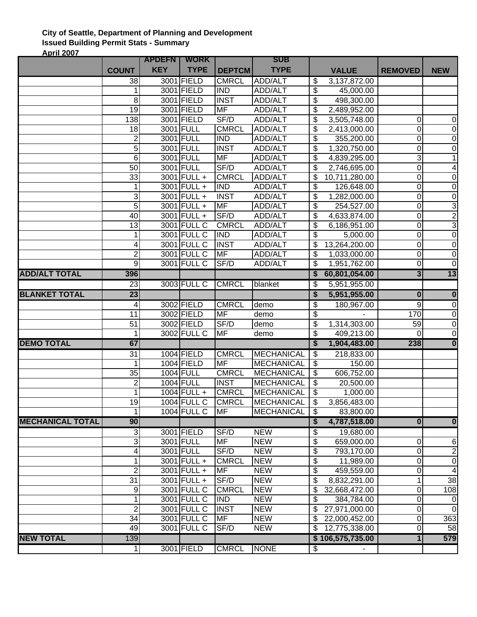## **City of Seattle, Department of Planning and Development Issued Building Permit Stats - Summary April 2007**

|                         |                          | <b>APDEFN</b> | <b>WORK</b>        |               | <b>SUB</b>        |                                      |                  |                         |                         |
|-------------------------|--------------------------|---------------|--------------------|---------------|-------------------|--------------------------------------|------------------|-------------------------|-------------------------|
|                         | <b>COUNT</b>             | <b>KEY</b>    | <b>TYPE</b>        | <b>DEPTCM</b> | <b>TYPE</b>       |                                      | <b>VALUE</b>     | <b>REMOVED</b>          | <b>NEW</b>              |
|                         | 38                       |               | 3001 FIELD         | <b>CMRCL</b>  | <b>ADD/ALT</b>    | \$                                   | 3,137,872.00     |                         |                         |
|                         | 1                        |               | 3001 FIELD         | <b>IND</b>    | ADD/ALT           | \$                                   | 45,000.00        |                         |                         |
|                         | 8                        |               | 3001 FIELD         | <b>INST</b>   | ADD/ALT           | \$                                   | 498,300.00       |                         |                         |
|                         | 19                       |               | 3001 FIELD         | <b>MF</b>     | ADD/ALT           | \$                                   | 2,489,952.00     |                         |                         |
|                         | 138                      |               | 3001 FIELD         | SF/D          | ADD/ALT           | \$                                   | 3,505,748.00     | 0                       | 0                       |
|                         | 18                       |               | <b>3001 FULL</b>   | <b>CMRCL</b>  | ADD/ALT           | \$                                   | 2,413,000.00     | 0                       | $\overline{0}$          |
|                         | $\overline{\mathbf{c}}$  |               | 3001 FULL          | <b>IND</b>    | ADD/ALT           | \$                                   | 355,200.00       | 0                       | $\boldsymbol{0}$        |
|                         | 5                        |               | 3001 FULL          | <b>INST</b>   | ADD/ALT           | \$                                   | 1,320,750.00     | 0                       | $\boldsymbol{0}$        |
|                         | 6                        |               | 3001 FULL          | MF            | ADD/ALT           | \$                                   | 4,839,295.00     | 3                       | $\mathbf{1}$            |
|                         | $\overline{50}$          |               | 3001 FULL          | SF/D          | ADD/ALT           | \$                                   | 2,746,695.00     | $\overline{0}$          | 4                       |
|                         | 33                       |               | 3001 FULL +        | <b>CMRCL</b>  | ADD/ALT           | \$                                   | 10,711,280.00    | 0                       | $\boldsymbol{0}$        |
|                         | 1                        |               | 3001 FULL +        | <b>IND</b>    | ADD/ALT           | \$                                   | 126,648.00       | 0                       | $\boldsymbol{0}$        |
|                         | ω                        |               | 3001 FULL +        | <b>INST</b>   | ADD/ALT           | \$                                   | 1,282,000.00     | 0                       | $\boldsymbol{0}$        |
|                         | $\overline{5}$           |               | 3001 FULL +        | <b>MF</b>     | ADD/ALT           | $\overline{\mathbf{e}}$              | 254,527.00       | 0                       | $\overline{3}$          |
|                         | 40                       |               | 3001 FULL +        | SF/D          | ADD/ALT           | \$                                   | 4,633,874.00     | $\mathbf 0$             | $\overline{2}$          |
|                         | 13                       |               | 3001 FULL C        | <b>CMRCL</b>  | ADD/ALT           | \$                                   | 6,186,951.00     | $\mathbf 0$             | $\overline{3}$          |
|                         | 1                        |               | 3001 FULL C        | <b>IND</b>    | ADD/ALT           | \$                                   | 5,000.00         | 0                       | $\overline{0}$          |
|                         | 4                        |               | 3001 FULL C        | <b>INST</b>   | ADD/ALT           | \$                                   | 13,264,200.00    | 0                       | $\overline{0}$          |
|                         | $\overline{2}$           |               | 3001 FULL C        | <b>MF</b>     | ADD/ALT           | \$                                   | 1,033,000.00     | $\overline{0}$          | $\boldsymbol{0}$        |
|                         | 9                        |               | 3001 FULL C        | SF/D          | ADD/ALT           | \$                                   | 1,951,762.00     | $\overline{0}$          | $\overline{0}$          |
| <b>ADD/ALT TOTAL</b>    | 396                      |               |                    |               |                   | \$                                   | 60,801,054.00    | $\overline{\mathbf{3}}$ | $\overline{13}$         |
|                         | 23                       |               | 3003 FULL C        | <b>CMRCL</b>  | blanket           | \$                                   | 5,951,955.00     |                         |                         |
| <b>BLANKET TOTAL</b>    | 23                       |               |                    |               |                   | $\overline{\boldsymbol{\mathsf{s}}}$ | 5,951,955.00     | $\overline{\mathbf{0}}$ | $\bf{0}$                |
|                         | $\overline{4}$           |               | 3002 FIELD         | <b>CMRCL</b>  | demo              | $\overline{\mathcal{E}}$             | 180,967.00       | $\overline{9}$          | $\overline{0}$          |
|                         | 11                       |               | 3002 FIELD         | <b>MF</b>     | demo              | $\overline{\mathbf{e}}$              |                  | 170                     | $\overline{0}$          |
|                         | $\overline{51}$          |               | 3002 FIELD         | SF/D          | demo              | $\overline{\mathcal{E}}$             | 1,314,303.00     | 59                      | $\mathbf 0$             |
|                         | 1                        |               | 3002 FULL C        | <b>MF</b>     | demo              | $\overline{\boldsymbol{\theta}}$     | 409,213.00       | $\Omega$                | $\overline{0}$          |
| <b>DEMO TOTAL</b>       | 67                       |               |                    |               |                   | \$                                   | 1,904,483.00     | 238                     | $\bf{0}$                |
|                         | 31                       |               | 1004 FIELD         | <b>CMRCL</b>  | MECHANICAL        | $\overline{\$}$                      | 218,833.00       |                         |                         |
|                         | 1                        |               | 1004 FIELD         | <b>MF</b>     | <b>MECHANICAL</b> | $\boldsymbol{\mathsf{\$}}$           | 150.00           |                         |                         |
|                         | $\overline{35}$          |               | <b>1004 FULL</b>   | <b>CMRCL</b>  | <b>MECHANICAL</b> | $\overline{\mathbf{S}}$              | 606,752.00       |                         |                         |
|                         | $\overline{2}$           |               | <b>1004 FULL</b>   | <b>INST</b>   | <b>MECHANICAL</b> | \$                                   | 20,500.00        |                         |                         |
|                         | $\mathbf{1}$             |               | $1004$ FULL +      | <b>CMRCL</b>  | <b>MECHANICAL</b> | \$                                   | 1,000.00         |                         |                         |
|                         | 19                       |               | 1004 FULL C        | <b>CMRCL</b>  | MECHANICAL        | \$                                   | 3,856,483.00     |                         |                         |
|                         | 1                        |               | <b>1004 FULL C</b> | MF            | <b>MECHANICAL</b> | \$                                   | 83,800.00        |                         |                         |
| <b>MECHANICAL TOTAL</b> | 90                       |               |                    |               |                   | \$                                   | 4,787,518.00     | $\overline{\mathbf{0}}$ | $\bf{0}$                |
|                         | $\overline{3}$           |               | 3001 FIELD         | SF/D          | <b>NEW</b>        | \$                                   | 19,680.00        |                         |                         |
|                         | 3                        |               | 3001 FULL          | <b>MF</b>     | <b>NEW</b>        | \$                                   | 659,000.00       | 0                       | 6                       |
|                         | $\overline{\mathcal{A}}$ |               | 3001 FULL          | SF/D          | <b>NEW</b>        | $\overline{\mathcal{E}}$             | 793,170.00       | $\mathbf 0$             | $\overline{\mathbf{c}}$ |
|                         | $\mathbf{1}$             |               | 3001 FULL +        | <b>CMRCL</b>  | <b>NEW</b>        | $\overline{\mathcal{E}}$             | 11,989.00        | $\mathbf 0$             | $\overline{0}$          |
|                         | $\overline{2}$           |               | 3001 FULL +        | MF            | <b>NEW</b>        | \$                                   | 459,559.00       | 0                       | $\overline{\mathbf{4}}$ |
|                         | 31                       |               | 3001 FULL +        | SF/D          | <b>NEW</b>        | \$                                   | 8,832,291.00     | 1                       | 38                      |
|                         | $\overline{9}$           |               | 3001 FULL C        | <b>CMRCL</b>  | <b>NEW</b>        | \$                                   | 32,668,472.00    | 0                       | 108                     |
|                         | $\mathbf{1}$             |               | 3001 FULL C        | <b>IND</b>    | <b>NEW</b>        | \$                                   | 384,784.00       | 0                       | $\mathbf 0$             |
|                         | $\overline{2}$           |               | 3001 FULL C        | <b>INST</b>   | <b>NEW</b>        | \$                                   | 27,971,000.00    | 0                       | $\overline{0}$          |
|                         | 34                       |               | 3001 FULL C        | <b>MF</b>     | <b>NEW</b>        | \$                                   | 22,000,452.00    | $\mathsf 0$             | 363                     |
|                         | 49                       |               | 3001 FULL C        | SF/D          | <b>NEW</b>        | \$                                   | 12,775,338.00    | 0                       | 58                      |
| <b>NEW TOTAL</b>        | 139                      |               |                    |               |                   |                                      | \$106,575,735.00 | $\overline{1}$          | 579                     |
|                         |                          |               |                    |               |                   |                                      |                  |                         |                         |
|                         | 1 <sup>1</sup>           |               | 3001 FIELD         | <b>CMRCL</b>  | <b>NONE</b>       | \$                                   | ٠                |                         |                         |